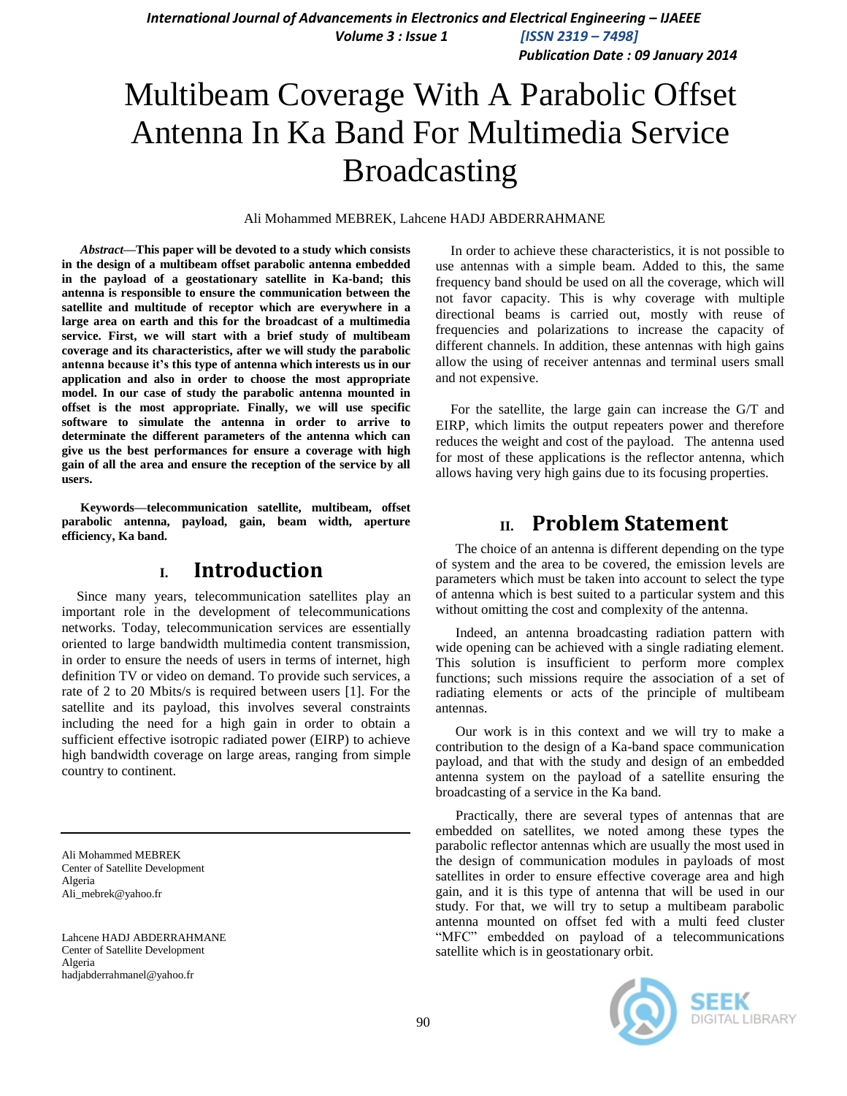*International Journal of Advancements in Electronics and Electrical Engineering - IJAEEE Volume 3 : Issue 1 [ISSN 2319 – 7498]*

*Publication Date : 09 January 2014*

# Multibeam Coverage With A Parabolic Offset Antenna In Ka Band For Multimedia Service Broadcasting

Ali Mohammed MEBREK, Lahcene HADJ ABDERRAHMANE

*Abstract***—This paper will be devoted to a study which consists in the design of a multibeam offset parabolic antenna embedded in the payload of a geostationary satellite in Ka-band; this antenna is responsible to ensure the communication between the satellite and multitude of receptor which are everywhere in a large area on earth and this for the broadcast of a multimedia service. First, we will start with a brief study of multibeam coverage and its characteristics, after we will study the parabolic antenna because it's this type of antenna which interests us in our application and also in order to choose the most appropriate model. In our case of study the parabolic antenna mounted in offset is the most appropriate. Finally, we will use specific software to simulate the antenna in order to arrive to determinate the different parameters of the antenna which can give us the best performances for ensure a coverage with high gain of all the area and ensure the reception of the service by all users.** 

**Keywords—telecommunication satellite, multibeam, offset parabolic antenna, payload, gain, beam width, aperture efficiency, Ka band.**

#### **I. Introduction**

Since many years, telecommunication satellites play an important role in the development of telecommunications networks. Today, telecommunication services are essentially oriented to large bandwidth multimedia content transmission, in order to ensure the needs of users in terms of internet, high definition TV or video on demand. To provide such services, a rate of 2 to 20 Mbits/s is required between users [1]. For the satellite and its payload, this involves several constraints including the need for a high gain in order to obtain a sufficient effective isotropic radiated power (EIRP) to achieve high bandwidth coverage on large areas, ranging from simple country to continent.

Ali Mohammed MEBREK Center of Satellite Development Algeria [Ali\\_mebrek@yahoo.fr](mailto:Ali_mebrek@yahoo.fr)

Lahcene HADJ ABDERRAHMANE Center of Satellite Development Algeria [hadjabderrahmanel@yahoo.fr](mailto:hadjabderrahmanel@yahoo.fr)

In order to achieve these characteristics, it is not possible to use antennas with a simple beam. Added to this, the same frequency band should be used on all the coverage, which will not favor capacity. This is why coverage with multiple directional beams is carried out, mostly with reuse of frequencies and polarizations to increase the capacity of different channels. In addition, these antennas with high gains allow the using of receiver antennas and terminal users small and not expensive.

For the satellite, the large gain can increase the G/T and EIRP, which limits the output repeaters power and therefore reduces the weight and cost of the payload. The antenna used for most of these applications is the reflector antenna, which allows having very high gains due to its focusing properties.

#### **II. Problem Statement**

The choice of an antenna is different depending on the type of system and the area to be covered, the emission levels are parameters which must be taken into account to select the type of antenna which is best suited to a particular system and this without omitting the cost and complexity of the antenna.

Indeed, an antenna broadcasting radiation pattern with wide opening can be achieved with a single radiating element. This solution is insufficient to perform more complex functions; such missions require the association of a set of radiating elements or acts of the principle of multibeam antennas.

Our work is in this context and we will try to make a contribution to the design of a Ka-band space communication payload, and that with the study and design of an embedded antenna system on the payload of a satellite ensuring the broadcasting of a service in the Ka band.

Practically, there are several types of antennas that are embedded on satellites, we noted among these types the parabolic reflector antennas which are usually the most used in the design of communication modules in payloads of most satellites in order to ensure effective coverage area and high gain, and it is this type of antenna that will be used in our study. For that, we will try to setup a multibeam parabolic antenna mounted on offset fed with a multi feed cluster "MFC" embedded on payload of a telecommunications satellite which is in geostationary orbit.

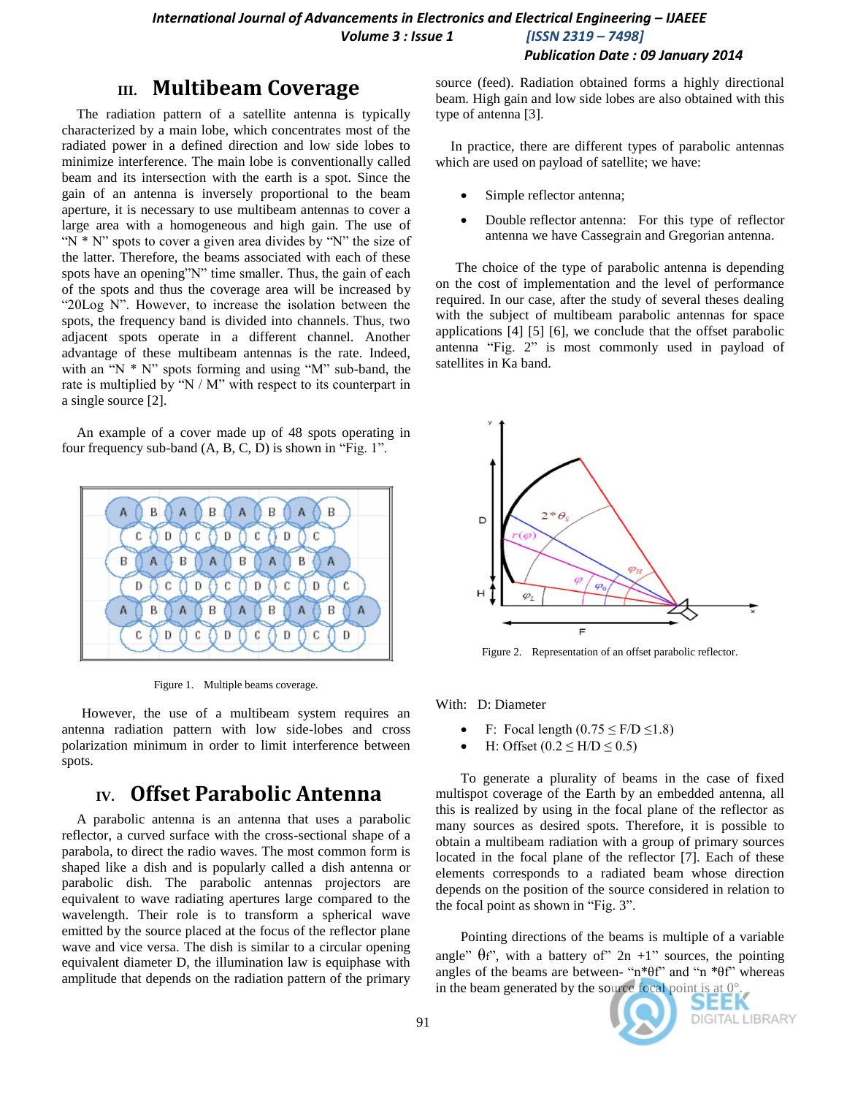# **III. Multibeam Coverage**

The radiation pattern of a satellite antenna is typically characterized by a main lobe, which concentrates most of the radiated power in a defined direction and low side lobes to minimize interference. The main lobe is conventionally called beam and its intersection with the earth is a spot. Since the gain of an antenna is inversely proportional to the beam aperture, it is necessary to use multibeam antennas to cover a large area with a homogeneous and high gain. The use of "N  $*$  N" spots to cover a given area divides by "N" the size of the latter. Therefore, the beams associated with each of these spots have an opening"N" time smaller. Thus, the gain of each of the spots and thus the coverage area will be increased by "20Log N". However, to increase the isolation between the spots, the frequency band is divided into channels. Thus, two adjacent spots operate in a different channel. Another advantage of these multibeam antennas is the rate. Indeed, with an " $N * N$ " spots forming and using " $M$ " sub-band, the rate is multiplied by "N / M" with respect to its counterpart in a single source [2].

An example of a cover made up of 48 spots operating in four frequency sub-band (A, B, C, D) is shown in "Fig. 1".



Figure 1. Multiple beams coverage.

However, the use of a multibeam system requires an antenna radiation pattern with low side-lobes and cross polarization minimum in order to limit interference between spots.

# **IV. Offset Parabolic Antenna**

A parabolic antenna is an [antenna](http://en.wikipedia.org/wiki/Antenna_%28radio%29) that uses a [parabolic](http://en.wikipedia.org/wiki/Parabolic_reflector)  [reflector,](http://en.wikipedia.org/wiki/Parabolic_reflector) a curved surface with the cross-sectional shape of a [parabola,](http://en.wikipedia.org/wiki/Parabola) to direct the radio waves. The most common form is shaped like a [dish](http://en.wikipedia.org/wiki/Dishware) and is popularly called a dish antenna or parabolic dish. The parabolic antennas projectors are equivalent to wave radiating apertures large compared to the wavelength. Their role is to transform a spherical wave emitted by the source placed at the focus of the reflector plane wave and vice versa. The dish is similar to a circular opening equivalent diameter D, the illumination law is equiphase with amplitude that depends on the radiation pattern of the primary source (feed). Radiation obtained forms a highly directional beam. High gain and low side lobes are also obtained with this type of antenna [3].

In practice, there are different types of parabolic antennas which are used on payload of satellite; we have:

- Simple reflector antenna;
- Double reflector antenna: For this type of reflector antenna we have Cassegrain and Gregorian antenna.

The choice of the type of parabolic antenna is depending on the cost of implementation and the level of performance required. In our case, after the study of several theses dealing with the subject of multibeam parabolic antennas for space applications [4] [5] [6], we conclude that the offset parabolic antenna "Fig. 2" is most commonly used in payload of satellites in Ka band.



Figure 2. Representation of an offset parabolic reflector.

With: D: Diameter

- F: Focal length  $(0.75 \le F/D \le 1.8)$
- H: Offset  $(0.2 \le H/D \le 0.5)$

To generate a plurality of beams in the case of fixed multispot coverage of the Earth by an embedded antenna, all this is realized by using in the focal plane of the reflector as many sources as desired spots. Therefore, it is possible to obtain a multibeam radiation with a group of primary sources located in the focal plane of the reflector [7]. Each of these elements corresponds to a radiated beam whose direction depends on the position of the source considered in relation to the focal point as shown in "Fig. 3".

Pointing directions of the beams is multiple of a variable angle"  $\theta$ f", with a battery of"  $2n +1$ " sources, the pointing angles of the beams are between- "n\* $\theta$ f" and "n \* $\theta$ f" whereas in the beam generated by the source focal point is at  $0^\circ$ .

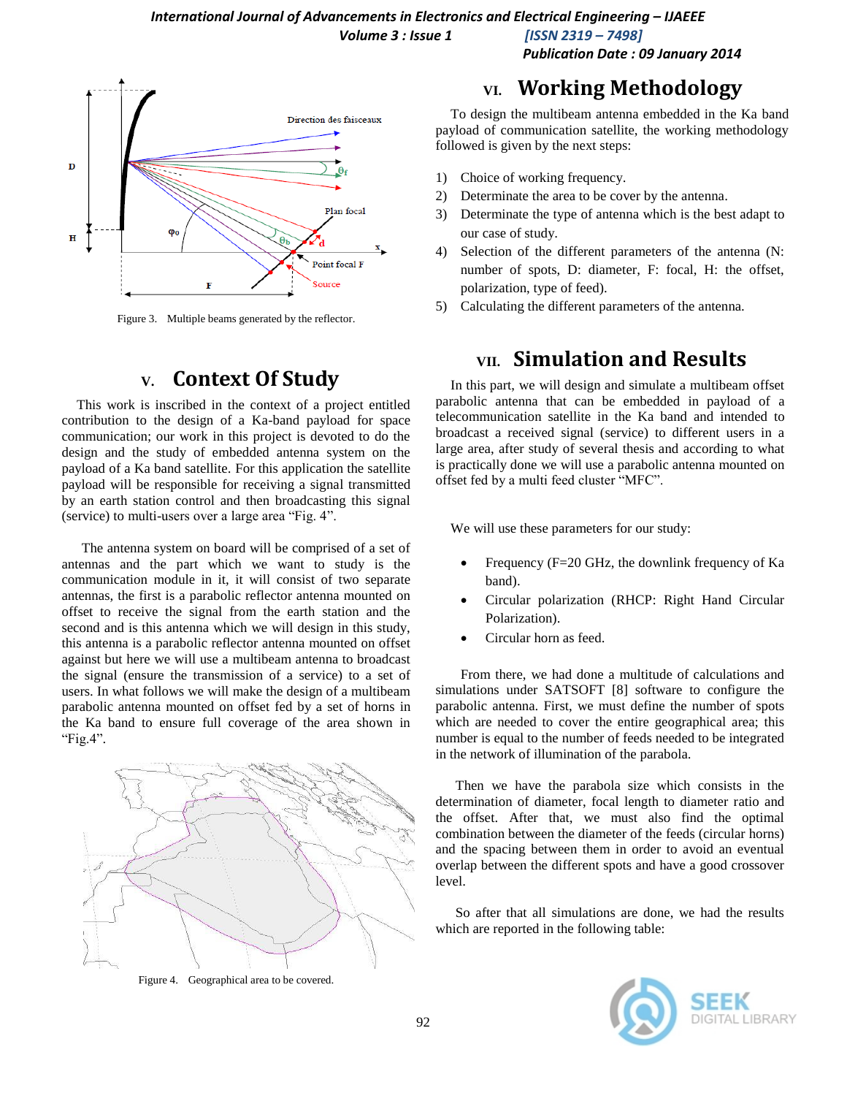Direction des faisceaux  $\overline{D}$ Plan focal  $\mathbf H$ Point focal F F

Figure 3. Multiple beams generated by the reflector.

# **V. Context Of Study**

This work is inscribed in the context of a project entitled contribution to the design of a Ka-band payload for space communication; our work in this project is devoted to do the design and the study of embedded antenna system on the payload of a Ka band satellite. For this application the satellite payload will be responsible for receiving a signal transmitted by an earth station control and then broadcasting this signal (service) to multi-users over a large area "Fig. 4".

The antenna system on board will be comprised of a set of antennas and the part which we want to study is the communication module in it, it will consist of two separate antennas, the first is a parabolic reflector antenna mounted on offset to receive the signal from the earth station and the second and is this antenna which we will design in this study, this antenna is a parabolic reflector antenna mounted on offset against but here we will use a multibeam antenna to broadcast the signal (ensure the transmission of a service) to a set of users. In what follows we will make the design of a multibeam parabolic antenna mounted on offset fed by a set of horns in the Ka band to ensure full coverage of the area shown in "Fig.4".



Figure 4. Geographical area to be covered.

## **VI. Working Methodology**

*Publication Date : 09 January 2014*

To design the multibeam antenna embedded in the Ka band payload of communication satellite, the working methodology followed is given by the next steps:

- 1) Choice of working frequency.
- 2) Determinate the area to be cover by the antenna.
- 3) Determinate the type of antenna which is the best adapt to our case of study.
- 4) Selection of the different parameters of the antenna (N: number of spots, D: diameter, F: focal, H: the offset, polarization, type of feed).
- 5) Calculating the different parameters of the antenna.

# **VII. Simulation and Results**

In this part, we will design and simulate a multibeam offset parabolic antenna that can be embedded in payload of a telecommunication satellite in the Ka band and intended to broadcast a received signal (service) to different users in a large area, after study of several thesis and according to what is practically done we will use a parabolic antenna mounted on offset fed by a multi feed cluster "MFC".

We will use these parameters for our study:

- Frequency (F=20 GHz, the downlink frequency of Ka band).
- Circular polarization (RHCP: Right Hand Circular Polarization).
- Circular horn as feed.

From there, we had done a multitude of calculations and simulations under SATSOFT [8] software to configure the parabolic antenna. First, we must define the number of spots which are needed to cover the entire geographical area; this number is equal to the number of feeds needed to be integrated in the network of illumination of the parabola.

Then we have the parabola size which consists in the determination of diameter, focal length to diameter ratio and the offset. After that, we must also find the optimal combination between the diameter of the feeds (circular horns) and the spacing between them in order to avoid an eventual overlap between the different spots and have a good crossover level.

So after that all simulations are done, we had the results which are reported in the following table:

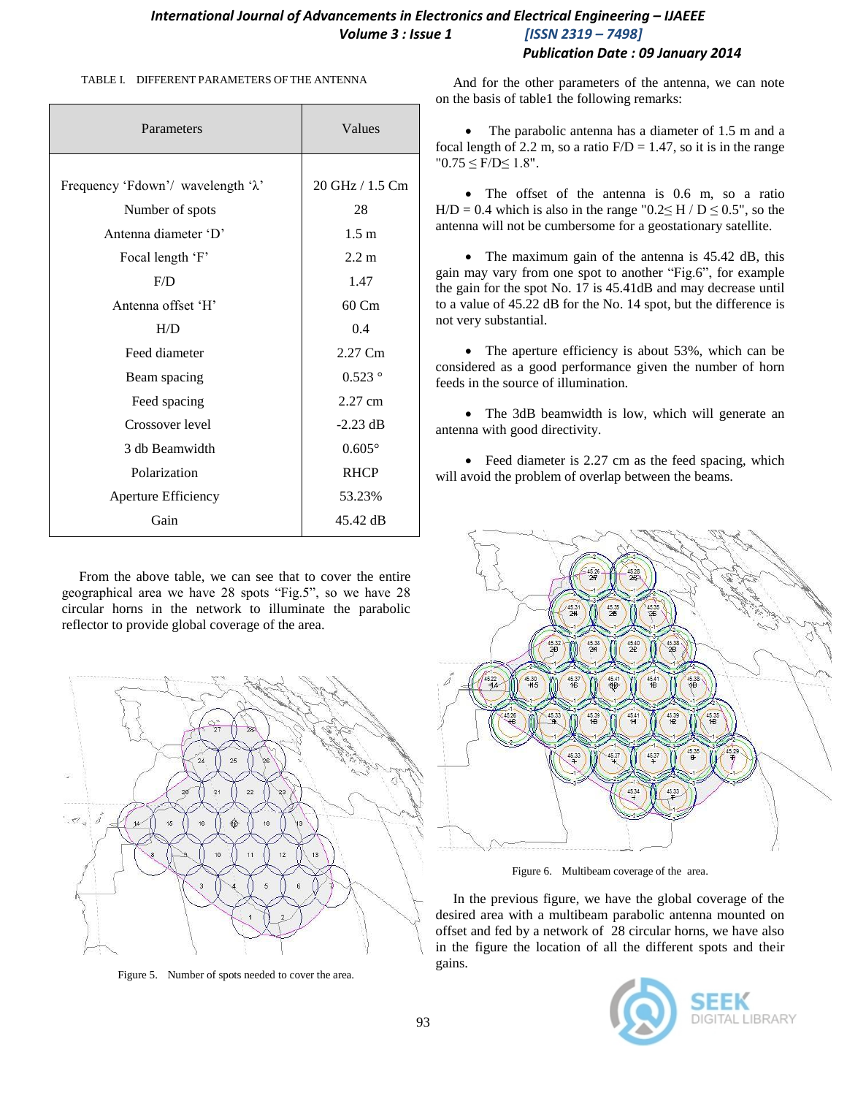#### *International Journal of Advancements in Electronics and Electrical Engineering - IJAEEE Volume 3 : Issue 1 [ISSN 2319 – 7498] Publication Date : 09 January 2014*

#### TABLE I. DIFFERENT PARAMETERS OF THE ANTENNA

| Parameters                                  | Values              |
|---------------------------------------------|---------------------|
|                                             |                     |
| Frequency 'Fdown'/ wavelength ' $\lambda$ ' | 20 GHz / 1.5 Cm     |
| Number of spots                             | 28                  |
| Antenna diameter 'D'                        | 1.5 <sub>m</sub>    |
| Focal length 'F'                            | $2.2 \text{ m}$     |
| F/D                                         | 1.47                |
| Antenna offset 'H'                          | $60 \, \mathrm{Cm}$ |
| H/D                                         | 0.4                 |
| Feed diameter                               | 2.27 Cm             |
| Beam spacing                                | $0.523$ °           |
| Feed spacing                                | 2.27 cm             |
| Crossover level                             | $-2.23$ dB          |
| 3 db Beamwidth                              | $0.605^{\circ}$     |
| Polarization                                | <b>RHCP</b>         |
| Aperture Efficiency                         | 53.23%              |
| Gain                                        | 45.42 dB            |

 From the above table, we can see that to cover the entire geographical area we have 28 spots "Fig.5", so we have 28 circular horns in the network to illuminate the parabolic reflector to provide global coverage of the area.



Figure 5. Number of spots needed to cover the area.

 And for the other parameters of the antenna, we can note on the basis of table1 the following remarks:

• The parabolic antenna has a diameter of 1.5 m and a focal length of 2.2 m, so a ratio  $F/D = 1.47$ , so it is in the range  $"0.75 \leq F/D \leq 1.8"$ .

• The offset of the antenna is 0.6 m, so a ratio H/D = 0.4 which is also in the range "0.2 $\leq$  H / D  $\leq$  0.5", so the antenna will not be cumbersome for a geostationary satellite.

• The maximum gain of the antenna is 45.42 dB, this gain may vary from one spot to another "Fig.6", for example the gain for the spot No. 17 is 45.41dB and may decrease until to a value of 45.22 dB for the No. 14 spot, but the difference is not very substantial.

• The aperture efficiency is about 53%, which can be considered as a good performance given the number of horn feeds in the source of illumination.

• The 3dB beamwidth is low, which will generate an antenna with good directivity.

• Feed diameter is 2.27 cm as the feed spacing, which will avoid the problem of overlap between the beams.



Figure 6. Multibeam coverage of the area.

 In the previous figure, we have the global coverage of the desired area with a multibeam parabolic antenna mounted on offset and fed by a network of 28 circular horns, we have also in the figure the location of all the different spots and their gains.